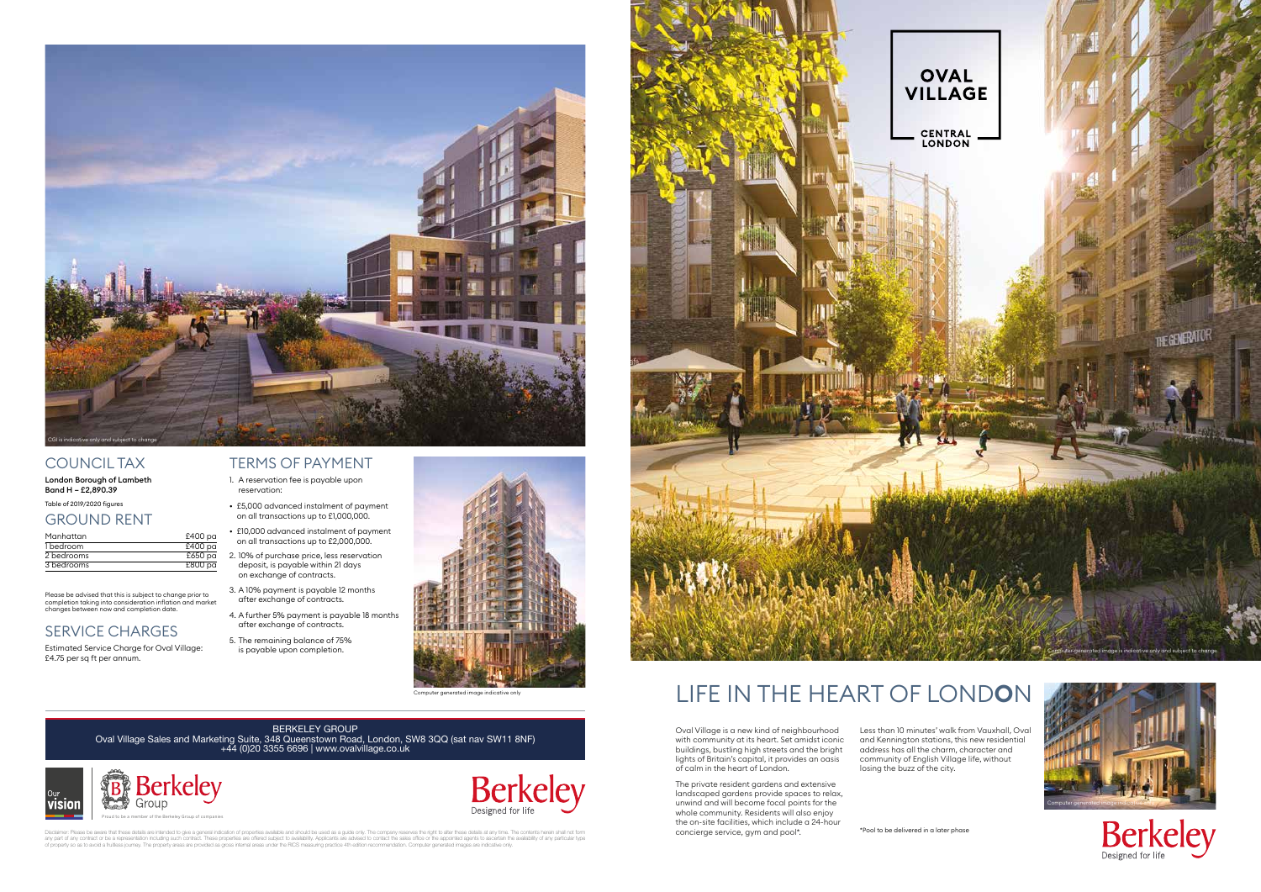## COUNCIL TAX

London Borough of Lambeth Band H – £2,890.39

Table of 2019/2020 figures

#### GROUND RENT

| Manhattan  | £400 pa            |
|------------|--------------------|
| 1 bedroom  | £400 <sub>pa</sub> |
| 2 bedrooms | £650 pa            |
| 3 bedrooms | £800 pa            |

Please be advised that this is subject to change prior to completion taking into consideration inflation and market changes between now and completion date.

## SERVICE CHARGES

Estimated Service Charge for Oval Village: £4.75 per sq ft per annum.

#### TERMS OF PAYMENT

- 1. A reservation fee is payable upon reservation:
- £5,000 advanced instalment of payment on all transactions up to £1,000,000.
- £10,000 advanced instalment of payment on all transactions up to £2,000,000.
- 2. 10% of purchase price, less reservation deposit, is payable within 21 days on exchange of contracts.
- 3. A 10% payment is payable 12 months after exchange of contracts.
- 4. A further 5% payment is payable 18 months after exchange of contracts.
- 5. The remaining balance of 75% is payable upon completion.

Oval Village is a new kind of neighbourhood with community at its heart. Set amidst iconic buildings, bustling high streets and the bright lights of Britain's capital, it provides an oasis of calm in the heart of London.

The private resident gardens and extensive landscaped gardens provide spaces to relax, unwind and will become focal points for the whole community. Residents will also enjoy the on-site facilities, which include a 24-hour concierge service, gym and pool\*.

Less than 10 minutes' walk from Vauxhall, Oval and Kennington stations, this new residential address has all the charm, character and community of English Village life, without losing the buzz of the city.





# LIFE IN THE HEART OF LOND**O**N



Berkeley



Computer generated image indicative only

# BERKELEY GROUP

Oval Village Sales and Marketing Suite, 348 Queenstown Road, London, SW8 3QQ (sat nav SW11 8NF) +44 (0)20 3355 6696 | www.ovalvillage.co.uk







Disclaimer: Please be aware that these details are intended to give a general indication of properties available and should be used as a guide only. The company reserves the right to alter these details at any time. The co